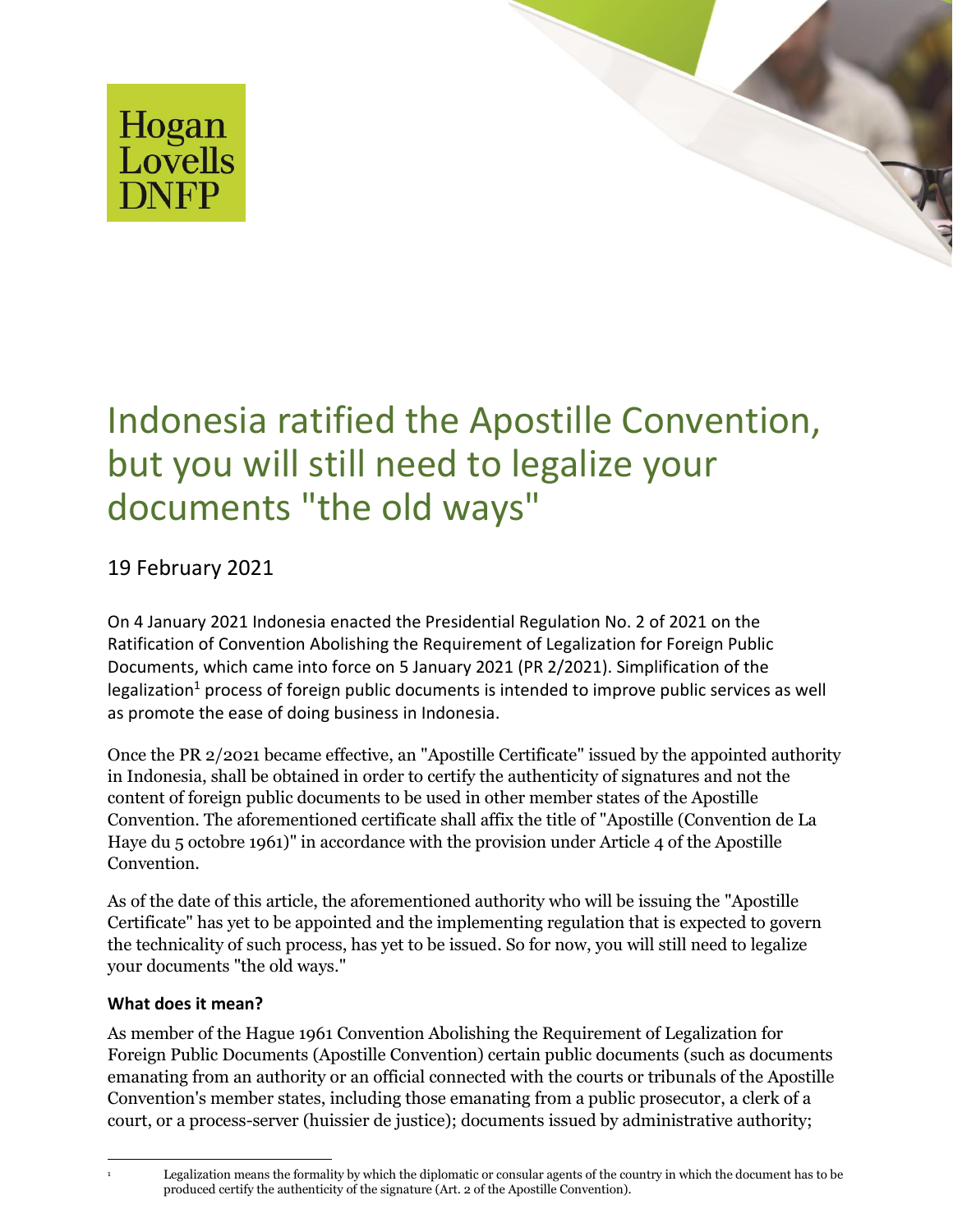



# Indonesia ratified the Apostille Convention, but you will still need to legalize your documents "the old ways"

# 19 February 2021

On 4 January 2021 Indonesia enacted the Presidential Regulation No. 2 of 2021 on the Ratification of Convention Abolishing the Requirement of Legalization for Foreign Public Documents, which came into force on 5 January 2021 (PR 2/2021). Simplification of the legalization<sup>1</sup> process of foreign public documents is intended to improve public services as well as promote the ease of doing business in Indonesia.

Once the PR 2/2021 became effective, an "Apostille Certificate" issued by the appointed authority in Indonesia, shall be obtained in order to certify the authenticity of signatures and not the content of foreign public documents to be used in other member states of the Apostille Convention. The aforementioned certificate shall affix the title of "Apostille (Convention de La Haye du 5 octobre 1961)" in accordance with the provision under Article 4 of the Apostille Convention.

As of the date of this article, the aforementioned authority who will be issuing the "Apostille Certificate" has yet to be appointed and the implementing regulation that is expected to govern the technicality of such process, has yet to be issued. So for now, you will still need to legalize your documents "the old ways."

## **What does it mean?**

As member of the Hague 1961 Convention Abolishing the Requirement of Legalization for Foreign Public Documents (Apostille Convention) certain public documents (such as documents emanating from an authority or an official connected with the courts or tribunals of the Apostille Convention's member states, including those emanating from a public prosecutor, a clerk of a court, or a process-server (huissier de justice); documents issued by administrative authority;

<sup>1</sup> Legalization means the formality by which the diplomatic or consular agents of the country in which the document has to be produced certify the authenticity of the signature (Art. 2 of the Apostille Convention).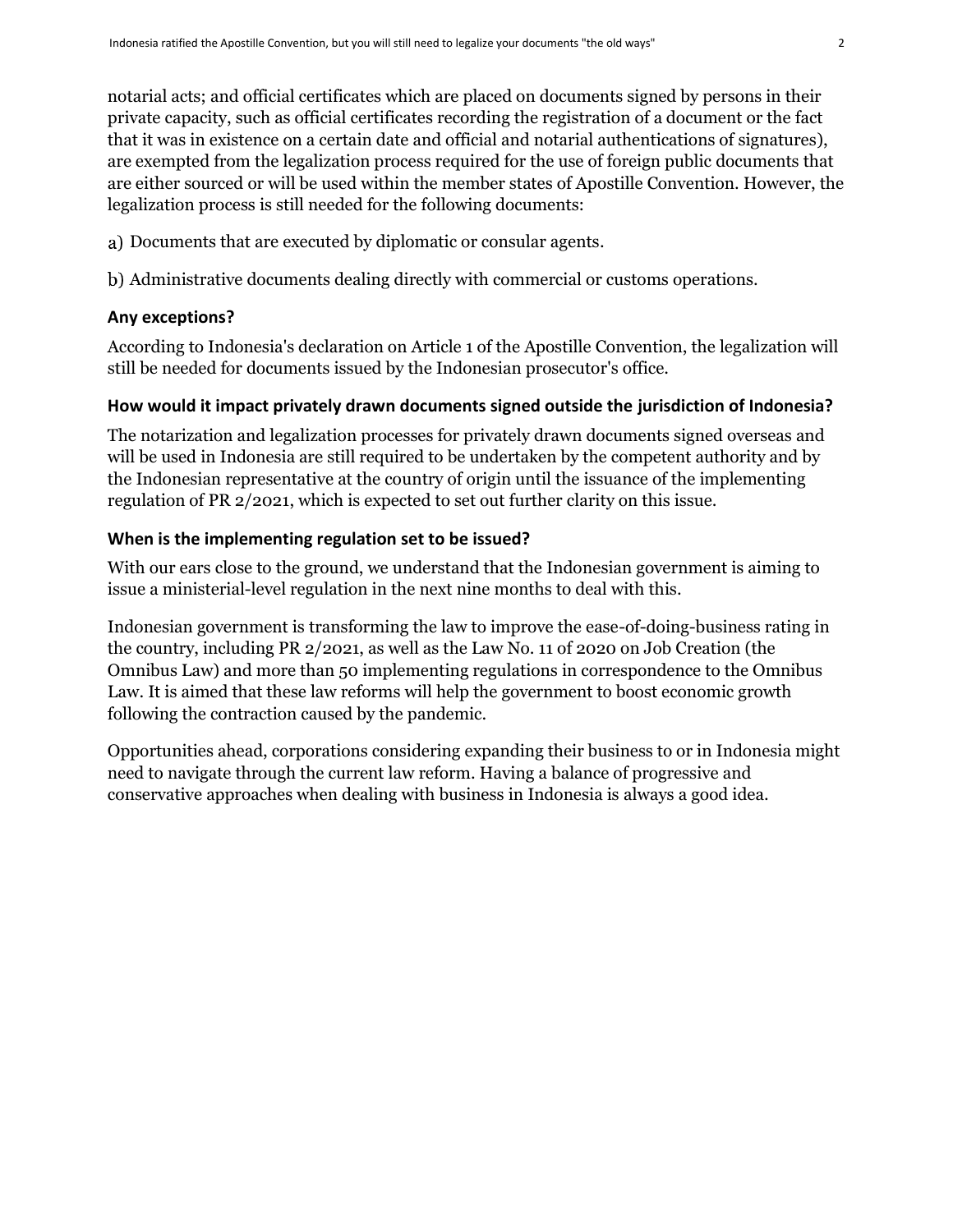notarial acts; and official certificates which are placed on documents signed by persons in their private capacity, such as official certificates recording the registration of a document or the fact that it was in existence on a certain date and official and notarial authentications of signatures), are exempted from the legalization process required for the use of foreign public documents that are either sourced or will be used within the member states of Apostille Convention. However, the legalization process is still needed for the following documents:

- a) Documents that are executed by diplomatic or consular agents.
- Administrative documents dealing directly with commercial or customs operations.

### **Any exceptions?**

According to Indonesia's declaration on Article 1 of the Apostille Convention, the legalization will still be needed for documents issued by the Indonesian prosecutor's office.

#### **How would it impact privately drawn documents signed outside the jurisdiction of Indonesia?**

The notarization and legalization processes for privately drawn documents signed overseas and will be used in Indonesia are still required to be undertaken by the competent authority and by the Indonesian representative at the country of origin until the issuance of the implementing regulation of PR 2/2021, which is expected to set out further clarity on this issue.

#### **When is the implementing regulation set to be issued?**

With our ears close to the ground, we understand that the Indonesian government is aiming to issue a ministerial-level regulation in the next nine months to deal with this.

Indonesian government is transforming the law to improve the ease-of-doing-business rating in the country, including PR 2/2021, as well as the Law No. 11 of 2020 on Job Creation (the Omnibus Law) and more than 50 implementing regulations in correspondence to the Omnibus Law. It is aimed that these law reforms will help the government to boost economic growth following the contraction caused by the pandemic.

Opportunities ahead, corporations considering expanding their business to or in Indonesia might need to navigate through the current law reform. Having a balance of progressive and conservative approaches when dealing with business in Indonesia is always a good idea.